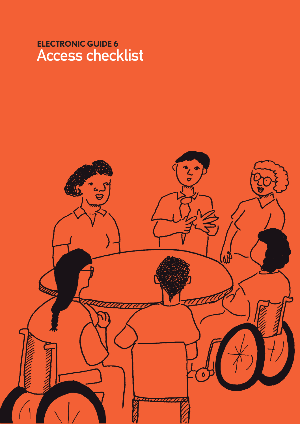# **ELECTRONIC GUIDE 6** Access checklist

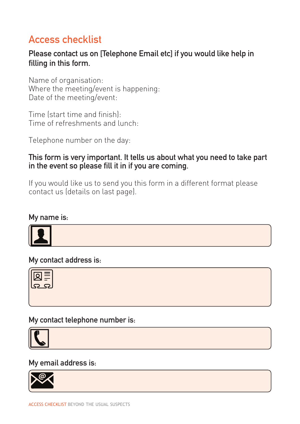# Access checklist

# Please contact us on [Telephone Email etc] if you would like help in filling in this form.

Name of organisation: Where the meeting/event is happening: Date of the meeting/event:

Time (start time and finish): Time of refreshments and lunch:

Telephone number on the day:

## This form is very important. It tells us about what you need to take part in the event so please fill it in if you are coming.

If you would like us to send you this form in a different format please contact us (details on last page).

#### My name is:



My contact address is:



My contact telephone number is:



### My email address is:

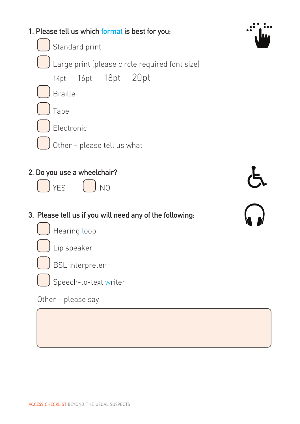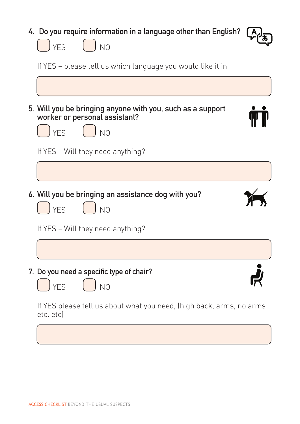| 4. Do you require information in a language other than English?<br>) yes<br>N <sub>0</sub>                             |  |
|------------------------------------------------------------------------------------------------------------------------|--|
| If YES – please tell us which language you would like it in                                                            |  |
|                                                                                                                        |  |
| 5. Will you be bringing anyone with you, such as a support<br>worker or personal assistant?<br>) yes<br>N <sub>O</sub> |  |
| If YES - Will they need anything?                                                                                      |  |
|                                                                                                                        |  |
| 6. Will you be bringing an assistance dog with you?<br><b>YFS</b><br>N <sub>O</sub>                                    |  |
| If YES - Will they need anything?                                                                                      |  |
|                                                                                                                        |  |
| 7. Do you need a specific type of chair?<br><b>YES</b><br>N <sub>O</sub>                                               |  |
| If YES please tell us about what you need, (high back, arms, no arms<br>etc. etc)                                      |  |
|                                                                                                                        |  |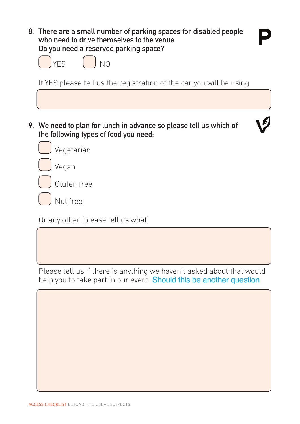8. There are a small number of parking spaces for disabled people who need to drive themselves to the venue. Do you need a reserved parking space?

| <b>IVEC</b><br>⊏.∋ | N0 |
|--------------------|----|
|                    |    |

If YES please tell us the registration of the car you will be using

9. We need to plan for lunch in advance so please tell us which of the following types of food you need:





Gluten free

Nut free

Or any other (please tell us what)

Please tell us if there is anything we haven't asked about that would help you to take part in our event Should this be another question